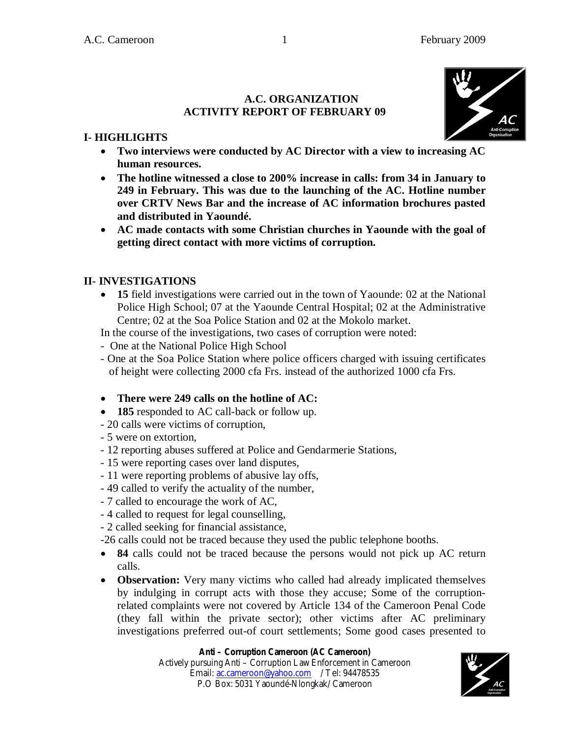#### **A.C. ORGANIZATION ACTIVITY REPORT OF FEBRUARY 09**



# **I- HIGHLIGHTS**

- **Two interviews were conducted by AC Director with a view to increasing AC human resources.**
- **The hotline witnessed a close to 200% increase in calls: from 34 in January to 249 in February. This was due to the launching of the AC. Hotline number over CRTV News Bar and the increase of AC information brochures pasted and distributed in Yaoundé.**
- **AC made contacts with some Christian churches in Yaounde with the goal of getting direct contact with more victims of corruption.**

## **II- INVESTIGATIONS**

 **15** field investigations were carried out in the town of Yaounde: 02 at the National Police High School; 07 at the Yaounde Central Hospital; 02 at the Administrative Centre; 02 at the Soa Police Station and 02 at the Mokolo market.

In the course of the investigations, two cases of corruption were noted:

- One at the National Police High School
- One at the Soa Police Station where police officers charged with issuing certificates of height were collecting 2000 cfa Frs. instead of the authorized 1000 cfa Frs.
- **There were 249 calls on the hotline of AC:**
- **185** responded to AC call-back or follow up.
- 20 calls were victims of corruption,
- 5 were on extortion,
- 12 reporting abuses suffered at Police and Gendarmerie Stations,
- 15 were reporting cases over land disputes,
- 11 were reporting problems of abusive lay offs,
- 49 called to verify the actuality of the number,
- 7 called to encourage the work of AC,
- 4 called to request for legal counselling,
- 2 called seeking for financial assistance,

-26 calls could not be traced because they used the public telephone booths.

- **84** calls could not be traced because the persons would not pick up AC return calls.
- **Observation:** Very many victims who called had already implicated themselves by indulging in corrupt acts with those they accuse; Some of the corruptionrelated complaints were not covered by Article 134 of the Cameroon Penal Code (they fall within the private sector); other victims after AC preliminary investigations preferred out-of court settlements; Some good cases presented to

### **Anti – Corruption Cameroon (AC Cameroon)**

Actively pursuing Anti – Corruption Law Enforcement in Cameroon Email: ac.cameroon@yahoo.com / Tel: 94478535 P.O Box: 5031 Yaoundé-Nlongkak/ Cameroon

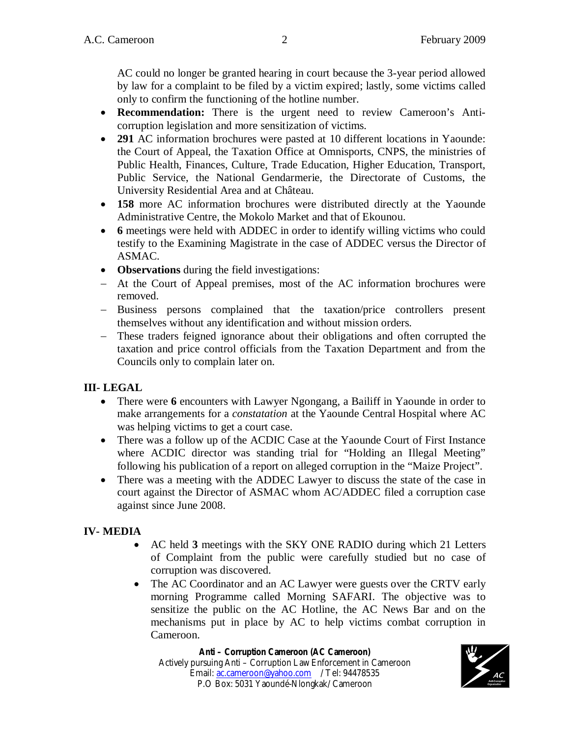AC could no longer be granted hearing in court because the 3-year period allowed by law for a complaint to be filed by a victim expired; lastly, some victims called only to confirm the functioning of the hotline number.

- **Recommendation:** There is the urgent need to review Cameroon's Anticorruption legislation and more sensitization of victims.
- **291** AC information brochures were pasted at 10 different locations in Yaounde: the Court of Appeal, the Taxation Office at Omnisports, CNPS, the ministries of Public Health, Finances, Culture, Trade Education, Higher Education, Transport, Public Service, the National Gendarmerie, the Directorate of Customs, the University Residential Area and at Château.
- **158** more AC information brochures were distributed directly at the Yaounde Administrative Centre, the Mokolo Market and that of Ekounou.
- **6** meetings were held with ADDEC in order to identify willing victims who could testify to the Examining Magistrate in the case of ADDEC versus the Director of ASMAC.
- **Observations** during the field investigations:
- At the Court of Appeal premises, most of the AC information brochures were removed.
- Business persons complained that the taxation/price controllers present themselves without any identification and without mission orders.
- These traders feigned ignorance about their obligations and often corrupted the taxation and price control officials from the Taxation Department and from the Councils only to complain later on.

#### **III- LEGAL**

- There were **6** encounters with Lawyer Ngongang, a Bailiff in Yaounde in order to make arrangements for a *constatation* at the Yaounde Central Hospital where AC was helping victims to get a court case.
- There was a follow up of the ACDIC Case at the Yaounde Court of First Instance where ACDIC director was standing trial for "Holding an Illegal Meeting" following his publication of a report on alleged corruption in the "Maize Project".
- There was a meeting with the ADDEC Lawyer to discuss the state of the case in court against the Director of ASMAC whom AC/ADDEC filed a corruption case against since June 2008.

#### **IV- MEDIA**

- AC held **3** meetings with the SKY ONE RADIO during which 21 Letters of Complaint from the public were carefully studied but no case of corruption was discovered.
- The AC Coordinator and an AC Lawyer were guests over the CRTV early morning Programme called Morning SAFARI. The objective was to sensitize the public on the AC Hotline, the AC News Bar and on the mechanisms put in place by AC to help victims combat corruption in Cameroon.

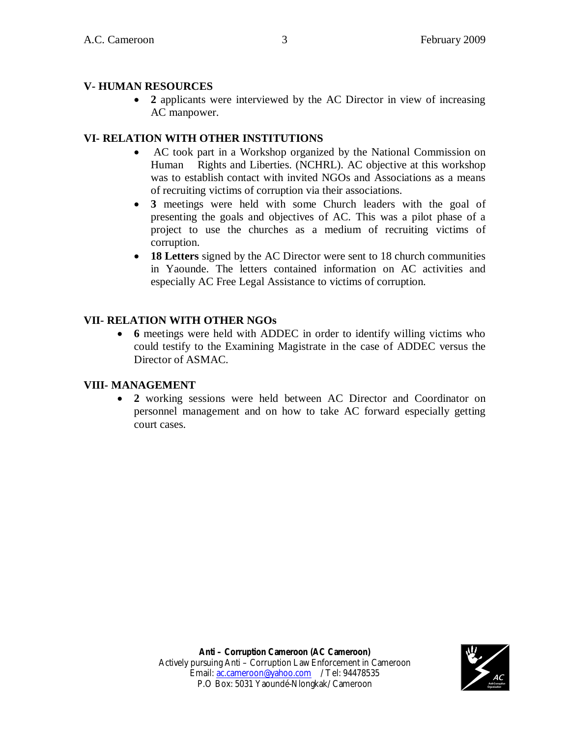#### **V- HUMAN RESOURCES**

 **2** applicants were interviewed by the AC Director in view of increasing AC manpower.

#### **VI- RELATION WITH OTHER INSTITUTIONS**

- AC took part in a Workshop organized by the National Commission on Human Rights and Liberties. (NCHRL). AC objective at this workshop was to establish contact with invited NGOs and Associations as a means of recruiting victims of corruption via their associations.
- **3** meetings were held with some Church leaders with the goal of presenting the goals and objectives of AC. This was a pilot phase of a project to use the churches as a medium of recruiting victims of corruption.
- **18 Letters** signed by the AC Director were sent to 18 church communities in Yaounde. The letters contained information on AC activities and especially AC Free Legal Assistance to victims of corruption.

### **VII- RELATION WITH OTHER NGOs**

 **6** meetings were held with ADDEC in order to identify willing victims who could testify to the Examining Magistrate in the case of ADDEC versus the Director of ASMAC.

#### **VIII- MANAGEMENT**

 **2** working sessions were held between AC Director and Coordinator on personnel management and on how to take AC forward especially getting court cases.